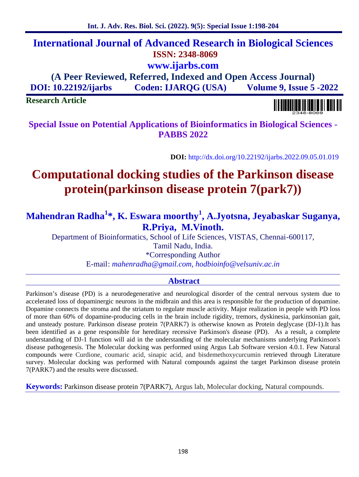# **International Journal of Advanced Research in Biological Sciences ISSN: 2348-8069 www.ijarbs.com**

**(A Peer Reviewed, Referred, Indexed and Open Access Journal) DOI: 10.22192/ijarbs Coden: IJARQG (USA) Volume 9, Issue 5 -2022**

**Research Article**

**Special Issue on Potential Applications of Bioinformatics in Biological Sciences - PABBS 2022**

**DOI:** http://dx.doi.org/10.22192/ijarbs.2022.09.05.01.019

# **Computational docking studies of the Parkinson disease protein(parkinson disease protein 7(park7))**

**Mahendran Radha<sup>1</sup>\*, K. Eswara moorthy<sup>1</sup> , A.Jyotsna, Jeyabaskar Suganya, R.Priya, M.Vinoth.**

Department of Bioinformatics, School of Life Sciences, VISTAS, Chennai-600117, Tamil Nadu, India.

\*Corresponding Author

E-mail: *mahenradha@gmail.com, hodbioinfo@velsuniv.ac.in*

# **Abstract**

Parkinson's disease (PD) is a neurodegenerative and neurological disorder of the central nervous system due to accelerated loss of dopaminergic neurons in the midbrain and this area is responsible for the production of dopamine. Dopamine connects the stroma and the striatum to regulate muscle activity. Major realization in people with PD loss of more than 60% of dopamine-producing cells in the brain include rigidity, tremors, dyskinesia, parkinsonian gait, and unsteady posture. Parkinson disease protein 7(PARK7) is otherwise known as Protein deglycase (DJ-1).It has been identified as a gene responsible for hereditary recessive Parkinson's disease (PD). As a result, a complete understanding of DJ-1 function will aid in the understanding of the molecular mechanisms underlying Parkinson's disease pathogenesis. The Molecular docking was performed using Argus Lab Software version 4.0.1. Few Natural compounds were Curdione, coumaric acid, sinapic acid, and bisdemethoxycurcumin retrieved through Literature survey. Molecular docking was performed with Natural compounds against the target Parkinson disease protein 7(PARK7) and the results were discussed.

**Keywords:** Parkinson disease protein 7(PARK7), Argus lab, Molecular docking, Natural compounds.

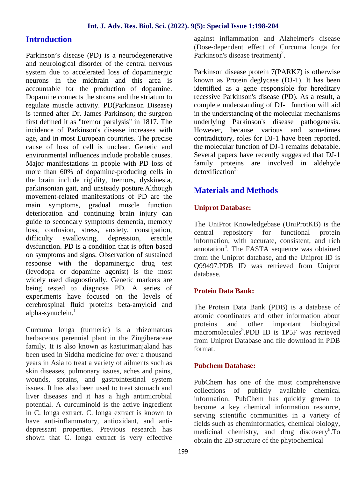#### **Introduction**

Parkinson's disease (PD) is a neurodegenerative and neurological disorder of the central nervous system due to accelerated loss of dopaminergic neurons in the midbrain and this area is accountable for the production of dopamine. Dopamine connects the stroma and the striatum to regulate muscle activity. PD(Parkinson Disease) is termed after Dr. James Parkinson; the surgeon first defined it as "tremor paralysis" in 1817. The incidence of Parkinson's disease increases with age, and in most European countries. The precise cause of loss of cell is unclear. Genetic and environmental influences include probable causes. Major manifestations in people with PD loss of more than 60% of dopamine-producing cells in the brain include rigidity, tremors, dyskinesia, parkinsonian gait, and unsteady posture.Although movement-related manifestations of PD are the main symptoms, gradual muscle function deterioration and continuing brain injury can guide to secondary symptoms dementia, memory loss, confusion, stress, anxiety, constipation, difficulty swallowing, depression, erectile dysfunction. PD is a condition that is often based on symptoms and signs. Observation of sustained response with the dopaminergic drug test (levodopa or dopamine agonist) is the most widely used diagnostically. Genetic markers are being tested to diagnose PD. A series of experiments have focused on the levels of cerebrospinal fluid proteins beta-amyloid and alpha-synuclein. $<sup>1</sup>$ </sup>

Curcuma longa (turmeric) is a rhizomatous herbaceous perennial plant in the Zingiberaceae family. It is also known as kasturimanjaland has been used in Siddha medicine for over a thousand years in Asia to treat a variety of ailments such as skin diseases, pulmonary issues, aches and pains, wounds, sprains, and gastrointestinal system issues. It has also been used to treat stomach and liver diseases and it has a high antimicrobial potential. A curcuminoid is the active ingredient in C. longa extract. C. longa extract is known to have anti-inflammatory, antioxidant, and anti depressant properties. Previous research has shown that C. longa extract is very effective against inflammation and Alzheimer's disease (Dose-dependent effect of Curcuma longa for Parkinson's disease treatment)<sup>2</sup>.

Parkinson disease protein 7(PARK7) is otherwise known as Protein deglycase (DJ-1). It has been identified as a gene responsible for hereditary recessive Parkinson's disease (PD). As a result, a complete understanding of DJ-1 function will aid in the understanding of the molecular mechanisms underlying Parkinson's disease pathogenesis. However, because various and sometimes contradictory, roles for DJ-1 have been reported, the molecular function of DJ-1 remains debatable. Several papers have recently suggested that DJ-1 family proteins are involved in aldehyde detoxification<sup>3.</sup>

# **Materials and Methods**

#### **Uniprot Database:**

The UniProt Knowledgebase (UniProtKB) is the central repository for functional protein information, with accurate, consistent, and rich annotation<sup>4</sup>. The FASTA sequence was obtained from the Uniprot database, and the Uniprot ID is Q99497.PDB ID was retrieved from Uniprot database.

#### **Protein Data Bank:**

The Protein Data Bank (PDB) is a database of atomic coordinates and other information about proteins and other important biological macromolecules<sup>5</sup>.PDB ID is 1P5F was retrieved from Uniprot Database and file download in PDB format.

#### **Pubchem Database:**

PubChem has one of the most comprehensive collections of publicly available chemical information. PubChem has quickly grown to become a key chemical information resource, serving scientific communities in a variety of fields such as cheminformatics, chemical biology, medicinal chemistry, and drug discovery<sup>6</sup>.To obtain the 2D structure of the phytochemical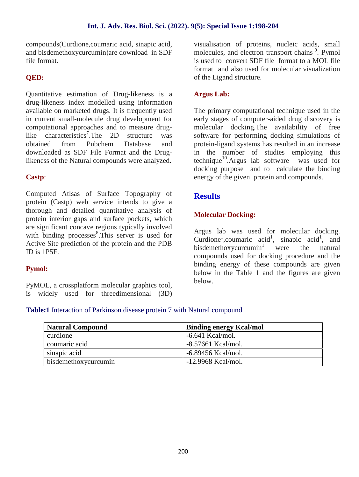compounds(Curdione,coumaric acid, sinapic acid, and bisdemethoxycurcumin)are download in SDF file format.

## **QED:**

Quantitative estimation of Drug-likeness is a drug-likeness index modelled using information available on marketed drugs. It is frequently used in current small-molecule drug development for computational approaches and to measure druglike characteristics<sup>7</sup>.The 2D structure was obtained from Pubchem Database and downloaded as SDF File Format and the Druglikeness of the Natural compounds were analyzed.

#### **Castp**:

Computed Atlsas of Surface Topography of protein (Castp) web service intends to give a thorough and detailed quantitative analysis of protein interior gaps and surface pockets, which are significant concave regions typically involved with binding processes<sup>8</sup>. This server is used for Active Site prediction of the protein and the PDB ID is 1P5F.

#### **Pymol:**

PyMOL, a crossplatform molecular graphics tool, is widely used for threedimensional (3D) visualisation of proteins, nucleic acids, small molecules, and electron transport chains<sup>9</sup>. Pymol is used to convert SDF file format to a MOL file format and also used for molecular visualization of the Ligand structure.

#### **Argus Lab:**

The primary computational technique used in the early stages of computer-aided drug discovery is molecular docking.The availability of free software for performing docking simulations of protein-ligand systems has resulted in an increase in the number of studies employing this technique<sup>10</sup>.Argus lab software was used for docking purpose and to calculate the binding energy of the given protein and compounds.

## **Results**

#### **Molecular Docking:**

Argus lab was used for molecular docking. Curdione<sup>1</sup>, coumaric acid<sup>1</sup>, sinapic acid<sup>1</sup>, and bisdemethoxycurcumin<sup>1</sup> were the natural compounds used for docking procedure and the binding energy of these compounds are given below in the Table 1 and the figures are given below.

#### **Table:1** Interaction of Parkinson disease protein 7 with Natural compound

| <b>Natural Compound</b> | <b>Binding energy Kcal/mol</b> |
|-------------------------|--------------------------------|
| curdione                | $-6.641$ Kcal/mol.             |
| coumaric acid           | -8.57661 Kcal/mol.             |
| sinapic acid            | $-6.89456$ Kcal/mol.           |
| bisdemethoxycurcumin    | $-12.9968$ Kcal/mol.           |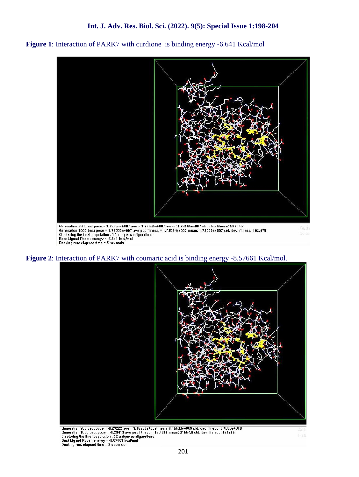



**Figure 2**: Interaction of PARK7 with coumaric acid is binding energy -8.57661 Kcal/mol.



Generation 960 best pose - -8.29222 ave - 9.15533e+009 mean: 9.15533e+009 std. dev fitness: 6.4086e+010<br>
Generation 1000 best pose - -8.29413 ave pop fitness - 160.218 mean: 31554.8 std. dev. fitness: 171785<br>
Clustering th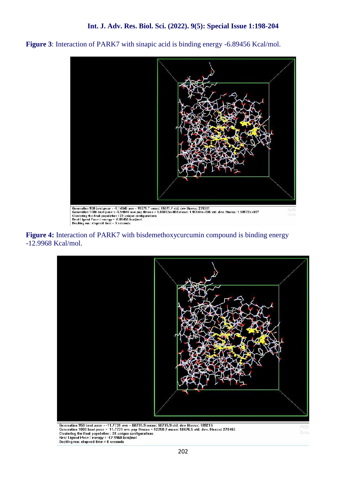



**Figure 4:** Interaction of PARK7 with bisdemethoxycurcumin compound is binding energy -12.9968 Kcal/mol.

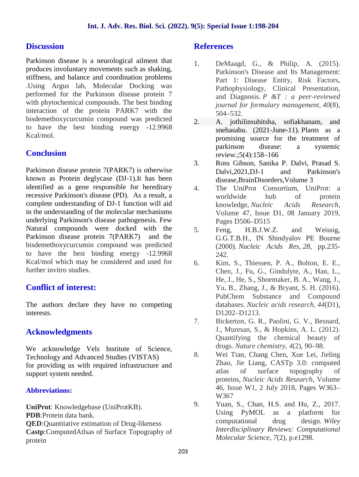# **Discussion**

Parkinson disease is a neurological ailment that produces involuntary movements such as shaking, stiffness, and balance and coordination problems .Using Argus lab, Molecular Docking was performed for the Parkinson disease protein 7 with phytochemical compounds. The best binding interaction of the protein PARK7 with the bisdemethoxycurcumin compound was predicted to have the best binding energy -12.9968 Kcal/mol.

# **Conclusion**

Parkinson disease protein 7(PARK7) is otherwise known as Protein deglycase (DJ-1).It has been identified as a gene responsible for hereditary recessive Parkinson's disease (PD). As a result, a complete understanding of DJ-1 function will aid in the understanding of the molecular mechanisms underlying Parkinson's disease pathogenesis. Few Natural compounds were docked with the 5. Parkinson disease protein 7(PARK7) and the bisdemethoxycurcumin compound was predicted to have the best binding energy -12.9968 Kcal/mol which may be considered and used for further invitro studies.

# **Conflict of interest:**

The authors declare they have no competing interests.

# **Acknowledgments**

We acknowledge Vels Institute of Science, Technology and Advanced Studies (VISTAS) for providing us with required infrastructure and support system needed.

#### **Abbreviations:**

**UniProt**: Knowledgebase (UniProtKB). **PDB**:Protein data bank. **QED**:Quantitative estimation of Drug-likeness **Castp**:ComputedAtlsas of Surface Topography of protein

#### **References**

- 1. DeMaagd, G., & Philip, A. (2015). Parkinson's Disease and Its Management: Part 1: Disease Entity, Risk Factors, Pathophysiology, Clinical Presentation, and Diagnosis. *P &T : a peer-reviewed journal for formulary management*, *40*(8), 504–532.
- 2. A. jothilinsubitsha, sofiakhanam, and snehasabu. (2021-June-11). Plants as a promising source for the treatment of parkinson disease: a systemic review.;5(4):158–166
- 3. Ross Gibson, Sanika P. Dalvi, Prasad S. Dalvi,2021,DJ-1 and Parkinson's disease,BrainDisorders,Volume 3
- The UniProt Consortium, UniProt: a worldwide hub of protein knowledge, *Nucleic Acids Research*, Volume 47, Issue D1, 08 January 2019, Pages D506–D515
- Feng, H.B.J.W.Z. and Weissig, G.G.T.B.H., IN Shindyalov PE Bourne (2000). *Nucleic Acids Res*, *28*, pp.235- 242.
- 6. Kim, S., Thiessen, P. A., Bolton, E. E., Chen, J., Fu, G., Gindulyte, A., Han, L., He, J., He, S., Shoemaker, B. A., Wang, J., Yu, B., Zhang, J., & Bryant, S. H. (2016). PubChem Substance and Compound databases. *Nucleic acids research*, *44*(D1), D1202–D1213.
- 7. Bickerton, G. R., Paolini, G. V., Besnard, J., Muresan, S., & Hopkins, A. L. (2012). Quantifying the chemical beauty of drugs. *Nature chemistry*, *4*(2), 90–98.
- 8. Wei Tian, Chang Chen, Xue Lei, Jieling Zhao, Jie Liang, CASTp 3.0: computed atlas of surface topography of proteins, *Nucleic Acids Research*, Volume 46, Issue W1, 2 July 2018, Pages W363– W367
- 9. Yuan, S., Chan, H.S. and Hu, Z., 2017. Using PyMOL as a platform for computational drug design. *Wiley Interdisciplinary Reviews: Computational Molecular Science*, *7*(2), p.e1298.